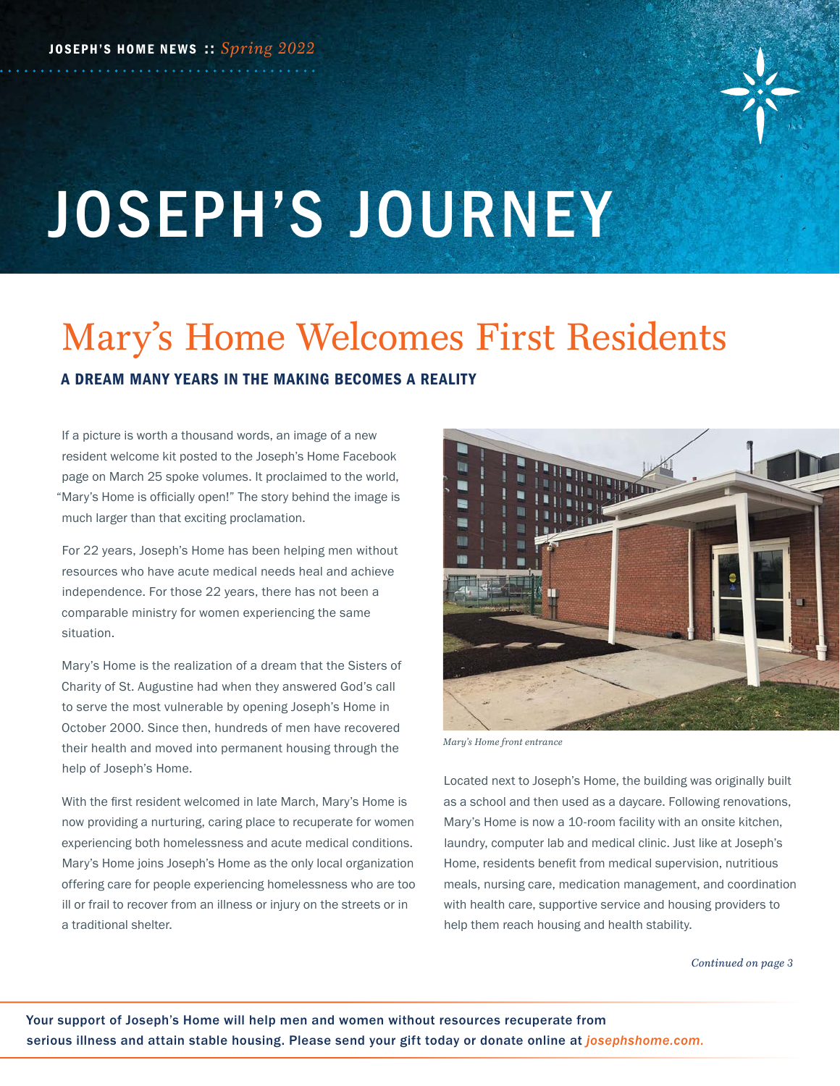

# JOSEPH'S JOURNEY

# Mary's Home Welcomes First Residents A DREAM MANY YEARS IN THE MAKING BECOMES A REALITY

If a picture is worth a thousand words, an image of a new resident welcome kit posted to the Joseph's Home Facebook page on March 25 spoke volumes. It proclaimed to the world, "Mary's Home is officially open!" The story behind the image is much larger than that exciting proclamation.

For 22 years, Joseph's Home has been helping men without resources who have acute medical needs heal and achieve independence. For those 22 years, there has not been a comparable ministry for women experiencing the same situation.

Mary's Home is the realization of a dream that the Sisters of Charity of St. Augustine had when they answered God's call to serve the most vulnerable by opening Joseph's Home in October 2000. Since then, hundreds of men have recovered their health and moved into permanent housing through the help of Joseph's Home.

With the first resident welcomed in late March, Mary's Home is now providing a nurturing, caring place to recuperate for women experiencing both homelessness and acute medical conditions. Mary's Home joins Joseph's Home as the only local organization offering care for people experiencing homelessness who are too ill or frail to recover from an illness or injury on the streets or in a traditional shelter.



*Mary's Home front entrance*

Located next to Joseph's Home, the building was originally built as a school and then used as a daycare. Following renovations, Mary's Home is now a 10-room facility with an onsite kitchen, laundry, computer lab and medical clinic. Just like at Joseph's Home, residents benefit from medical supervision, nutritious meals, nursing care, medication management, and coordination with health care, supportive service and housing providers to help them reach housing and health stability.

*Continued on page 3*

Your support of Joseph's Home will help men and women without resources recuperate from serious illness and attain stable housing. Please send your gift today or donate online at *josephshome.com.*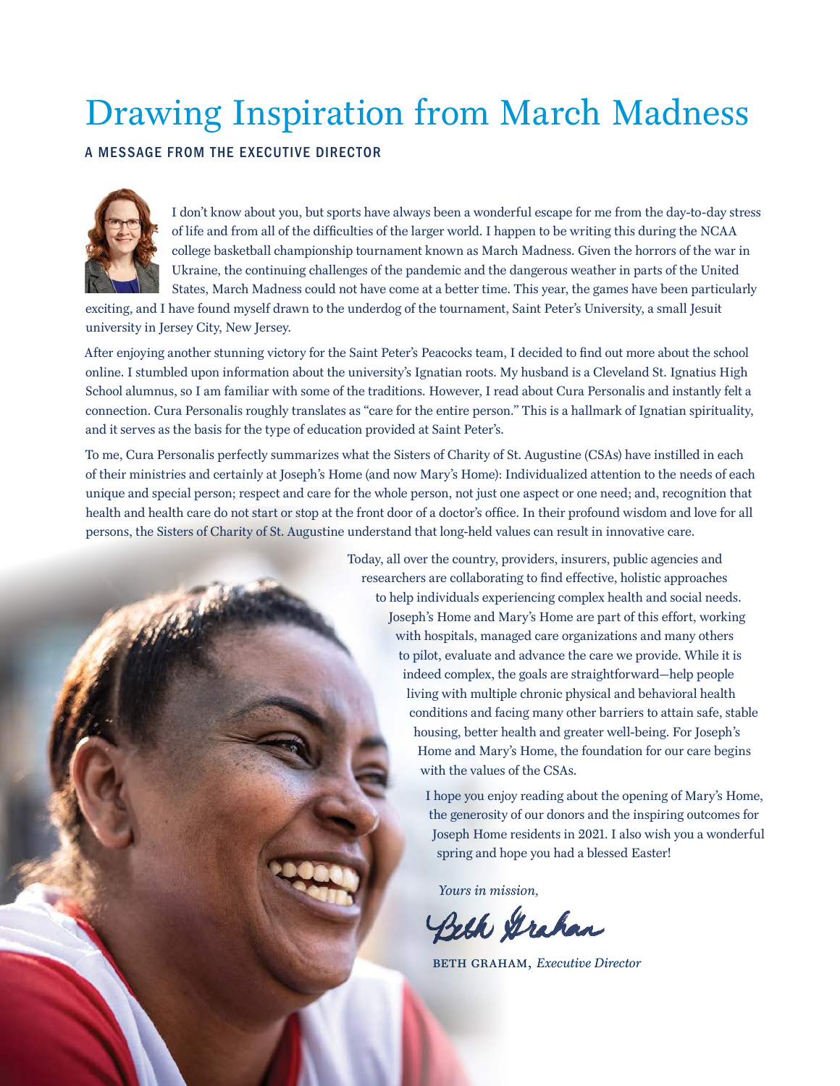# Drawing Inspiration from March Madness

## A MESSAGE FROM THE EXECUTIVE DIRECTOR



I don't know about you, but sports have always been a wonderful escape for me from the day-to-day stress of life and from all of the difficulties of the larger world. I happen to be writing this during the NCAA college basketball championship tournament known as March Madness. Given the horrors of the war in Ukraine, the continuing challenges of the pandemic and the dangerous weather in parts of the United States, March Madness could not have come at a better time. This year, the games have been particularly

exciting, and I have found myself drawn to the underdog of the tournament, Saint Peter's University, a small Jesuit university in Jersey City, New Jersey.

After enjoying another stunning victory for the Saint Peter's Peacocks team, I decided to find out more about the school online. I stumbled upon information about the university's Ignatian roots. My husband is a Cleveland St. Ignatius High School alumnus, so I am familiar with some of the traditions. However, I read about Cura Personalis and instantly felt a connection. Cura Personalis roughly translates as "care for the entire person." This is a hallmark of Ignatian spirituality, and it serves as the basis for the type of education provided at Saint Peter's.

To me, Cura Personalis perfectly summarizes what the Sisters of Charity of St. Augustine (CSAs) have instilled in each of their ministries and certainly at Joseph's Home (and now Mary's Home): Individualized attention to the needs of each unique and special person; respect and care for the whole person, not just one aspect or one need; and, recognition that health and health care do not start or stop at the front door of a doctor's office. In their profound wisdom and love for all persons, the Sisters of Charity of St. Augustine understand that long-held values can result in innovative care.

> Today, all over the country, providers, insurers, public agencies and researchers are collaborating to find effective, holistic approaches to help individuals experiencing complex health and social needs. Joseph's Home and Mary's Home are part of this effort, working with hospitals, managed care organizations and many others to pilot, evaluate and advance the care we provide. While it is indeed complex, the goals are straightforward—help people living with multiple chronic physical and behavioral health conditions and facing many other barriers to attain safe, stable housing, better health and greater well-being. For Joseph's Home and Mary's Home, the foundation for our care begins with the values of the CSAs.

> > I hope you enjoy reading about the opening of Mary's Home, the generosity of our donors and the inspiring outcomes for Joseph Home residents in 2021. I also wish you a wonderful spring and hope you had a blessed Easter!

*Yours in mission,*

Beth Grahan

**BETH GRAHAM,** *Executive Director*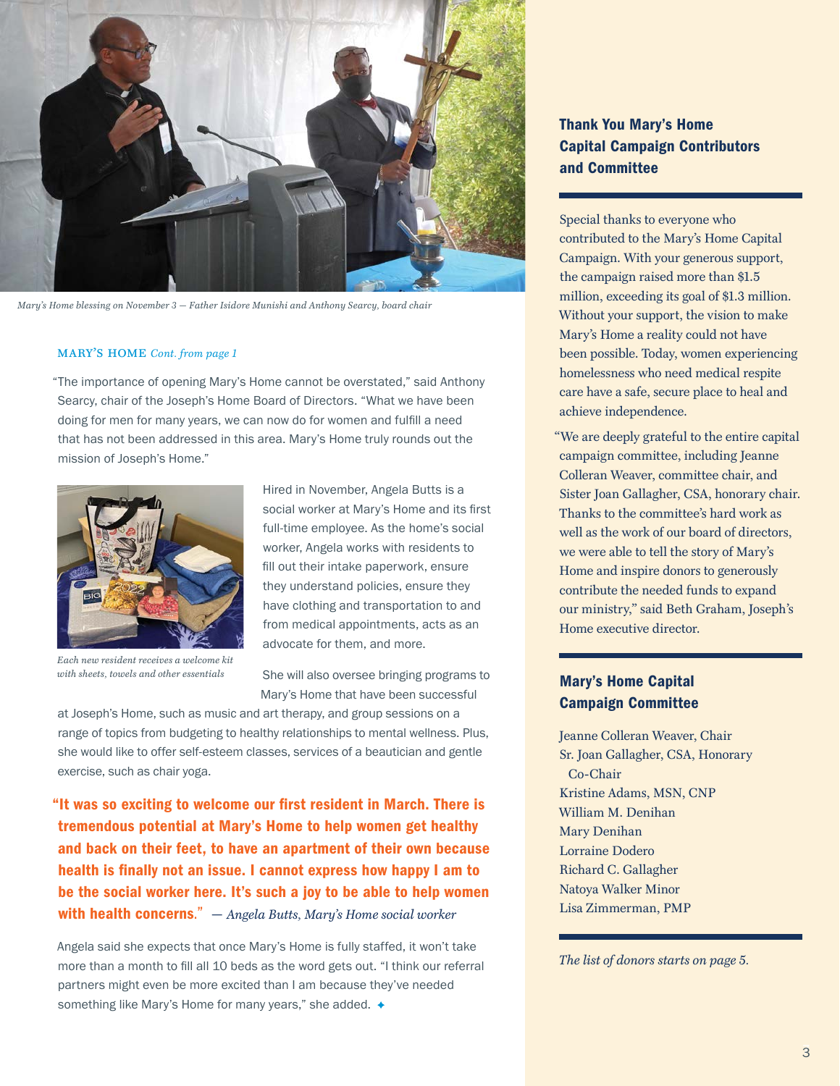

*Mary's Home blessing on November 3* — *Father Isidore Munishi and Anthony Searcy, board chair*

#### MARY'S HOME Cont. from page 1

"The importance of opening Mary's Home cannot be overstated," said Anthony Searcy, chair of the Joseph's Home Board of Directors. "What we have been doing for men for many years, we can now do for women and fulfill a need that has not been addressed in this area. Mary's Home truly rounds out the mission of Joseph's Home."



*Each new resident receives a welcome kit with sheets, towels and other essentials*

Hired in November, Angela Butts is a social worker at Mary's Home and its first full-time employee. As the home's social worker, Angela works with residents to fill out their intake paperwork, ensure they understand policies, ensure they have clothing and transportation to and from medical appointments, acts as an advocate for them, and more.

She will also oversee bringing programs to Mary's Home that have been successful

at Joseph's Home, such as music and art therapy, and group sessions on a range of topics from budgeting to healthy relationships to mental wellness. Plus, she would like to offer self-esteem classes, services of a beautician and gentle exercise, such as chair yoga.

"It was so exciting to welcome our first resident in March. There is tremendous potential at Mary's Home to help women get healthy and back on their feet, to have an apartment of their own because health is finally not an issue. I cannot express how happy I am to be the social worker here. It's such a joy to be able to help women with health concerns." — *Angela Butts, Mary's Home social worker*

Angela said she expects that once Mary's Home is fully staffed, it won't take more than a month to fill all 10 beds as the word gets out. "I think our referral partners might even be more excited than I am because they've needed something like Mary's Home for many years," she added.  $\rightarrow$ 

## Thank You Mary's Home Capital Campaign Contributors and Committee

Special thanks to everyone who contributed to the Mary's Home Capital Campaign. With your generous support, the campaign raised more than \$1.5 million, exceeding its goal of \$1.3 million. Without your support, the vision to make Mary's Home a reality could not have been possible. Today, women experiencing homelessness who need medical respite care have a safe, secure place to heal and achieve independence.

"We are deeply grateful to the entire capital campaign committee, including Jeanne Colleran Weaver, committee chair, and Sister Joan Gallagher, CSA, honorary chair. Thanks to the committee's hard work as well as the work of our board of directors. we were able to tell the story of Mary's Home and inspire donors to generously contribute the needed funds to expand our ministry," said Beth Graham, Joseph's Home executive director.

## Mary's Home Capital Campaign Committee

Jeanne Colleran Weaver, Chair Sr. Joan Gallagher, CSA, Honorary Co-Chair Kristine Adams, MSN, CNP William M. Denihan Mary Denihan Lorraine Dodero Richard C. Gallagher Natoya Walker Minor Lisa Zimmerman, PMP

*The list of donors starts on page 5.*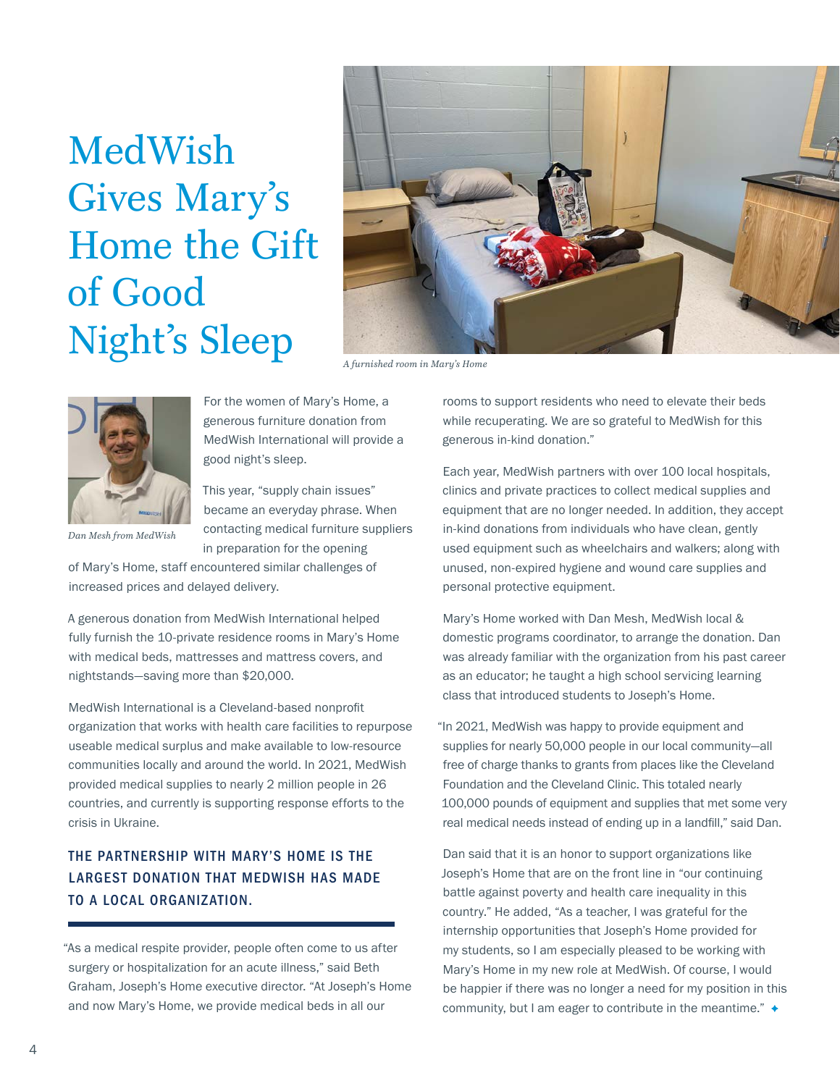# MedWish Gives Mary's Home the Gift of Good Night's Sleep *A furnished room in Mary's Home*





For the women of Mary's Home, a generous furniture donation from MedWish International will provide a good night's sleep.

This year, "supply chain issues" became an everyday phrase. When contacting medical furniture suppliers in preparation for the opening

*Dan Mesh from MedWish*

of Mary's Home, staff encountered similar challenges of increased prices and delayed delivery.

A generous donation from MedWish International helped fully furnish the 10-private residence rooms in Mary's Home with medical beds, mattresses and mattress covers, and nightstands—saving more than \$20,000.

MedWish International is a Cleveland-based nonprofit organization that works with health care facilities to repurpose useable medical surplus and make available to low-resource communities locally and around the world. In 2021, MedWish provided medical supplies to nearly 2 million people in 26 countries, and currently is supporting response efforts to the crisis in Ukraine.

## THE PARTNERSHIP WITH MARY'S HOME IS THE LARGEST DONATION THAT MEDWISH HAS MADE TO A LOCAL ORGANIZATION.

"As a medical respite provider, people often come to us after surgery or hospitalization for an acute illness," said Beth Graham, Joseph's Home executive director. "At Joseph's Home and now Mary's Home, we provide medical beds in all our

rooms to support residents who need to elevate their beds while recuperating. We are so grateful to MedWish for this generous in-kind donation."

Each year, MedWish partners with over 100 local hospitals, clinics and private practices to collect medical supplies and equipment that are no longer needed. In addition, they accept in-kind donations from individuals who have clean, gently used equipment such as wheelchairs and walkers; along with unused, non-expired hygiene and wound care supplies and personal protective equipment.

Mary's Home worked with Dan Mesh, MedWish local & domestic programs coordinator, to arrange the donation. Dan was already familiar with the organization from his past career as an educator; he taught a high school servicing learning class that introduced students to Joseph's Home.

"In 2021, MedWish was happy to provide equipment and supplies for nearly 50,000 people in our local community—all free of charge thanks to grants from places like the Cleveland Foundation and the Cleveland Clinic. This totaled nearly 100,000 pounds of equipment and supplies that met some very real medical needs instead of ending up in a landfill," said Dan.

Dan said that it is an honor to support organizations like Joseph's Home that are on the front line in "our continuing battle against poverty and health care inequality in this country." He added, "As a teacher, I was grateful for the internship opportunities that Joseph's Home provided for my students, so I am especially pleased to be working with Mary's Home in my new role at MedWish. Of course, I would be happier if there was no longer a need for my position in this community, but I am eager to contribute in the meantime."  $\rightarrow$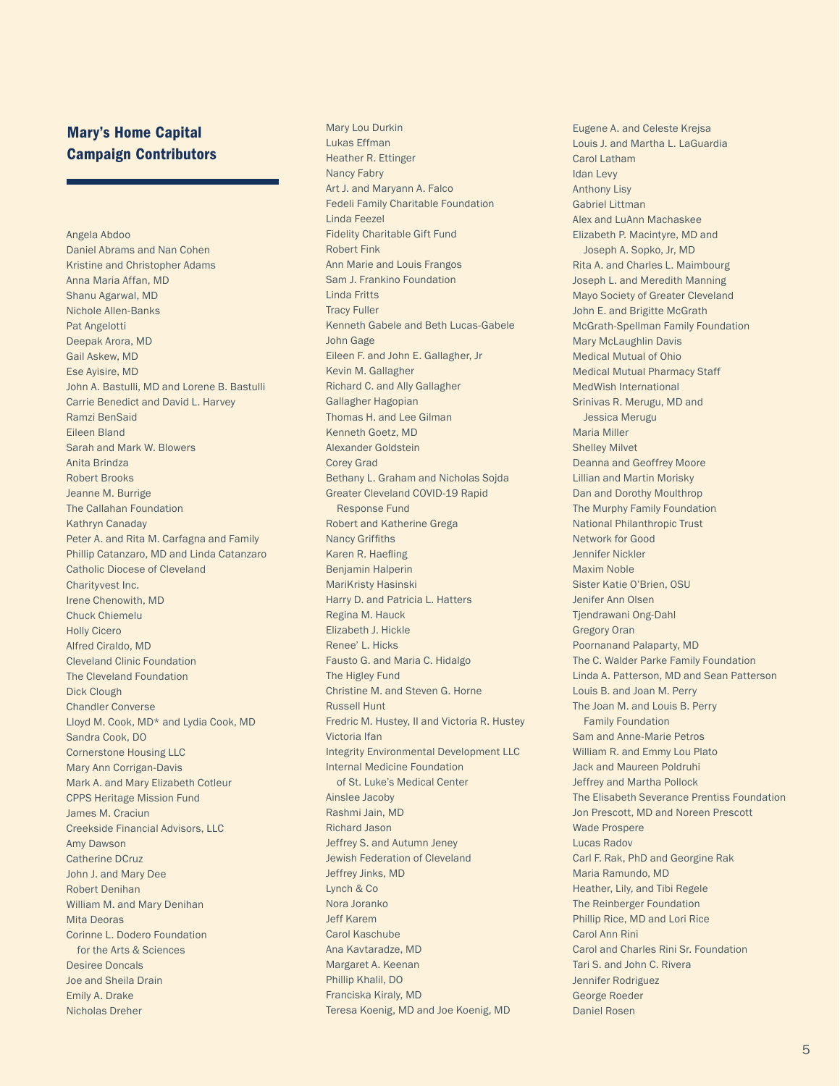## Mary's Home Capital Campaign Contributors

Angela Abdoo Daniel Abrams and Nan Cohen Kristine and Christopher Adams Anna Maria Affan, MD Shanu Agarwal, MD Nichole Allen-Banks Pat Angelotti Deepak Arora, MD Gail Askew, MD Ese Ayisire, MD John A. Bastulli, MD and Lorene B. Bastulli Carrie Benedict and David L. Harvey Ramzi BenSaid Eileen Bland Sarah and Mark W. Blowers Anita Brindza Robert Brooks Jeanne M. Burrige The Callahan Foundation Kathryn Canaday Peter A. and Rita M. Carfagna and Family Phillip Catanzaro, MD and Linda Catanzaro Catholic Diocese of Cleveland Charityvest Inc. Irene Chenowith, MD Chuck Chiemelu Holly Cicero Alfred Ciraldo, MD Cleveland Clinic Foundation The Cleveland Foundation Dick Clough Chandler Converse Lloyd M. Cook, MD\* and Lydia Cook, MD Sandra Cook, DO Cornerstone Housing LLC Mary Ann Corrigan-Davis Mark A. and Mary Elizabeth Cotleur CPPS Heritage Mission Fund James M. Craciun Creekside Financial Advisors, LLC Amy Dawson Catherine DCruz John J. and Mary Dee Robert Denihan William M. and Mary Denihan Mita Deoras Corinne L. Dodero Foundation for the Arts & Sciences Desiree Doncals Joe and Sheila Drain Emily A. Drake Nicholas Dreher

Mary Lou Durkin Lukas Effman Heather R. Ettinger Nancy Fabry Art J. and Maryann A. Falco Fedeli Family Charitable Foundation Linda Feezel Fidelity Charitable Gift Fund Robert Fink Ann Marie and Louis Frangos Sam J. Frankino Foundation Linda Fritts Tracy Fuller Kenneth Gabele and Beth Lucas-Gabele John Gage Eileen F. and John E. Gallagher, Jr Kevin M. Gallagher Richard C. and Ally Gallagher Gallagher Hagopian Thomas H. and Lee Gilman Kenneth Goetz, MD Alexander Goldstein Corey Grad Bethany L. Graham and Nicholas Sojda Greater Cleveland COVID-19 Rapid Response Fund Robert and Katherine Grega Nancy Griffiths Karen R. Haefling Benjamin Halperin MariKristy Hasinski Harry D. and Patricia L. Hatters Regina M. Hauck Elizabeth J. Hickle Renee' L. Hicks Fausto G. and Maria C. Hidalgo The Higley Fund Christine M. and Steven G. Horne Russell Hunt Fredric M. Hustey, II and Victoria R. Hustey Victoria Ifan Integrity Environmental Development LLC Internal Medicine Foundation of St. Luke's Medical Center Ainslee Jacoby Rashmi Jain, MD Richard Jason Jeffrey S. and Autumn Jeney Jewish Federation of Cleveland Jeffrey Jinks, MD Lynch & Co Nora Joranko Jeff Karem Carol Kaschube Ana Kavtaradze, MD Margaret A. Keenan Phillip Khalil, DO Franciska Kiraly, MD Teresa Koenig, MD and Joe Koenig, MD

Eugene A. and Celeste Krejsa Louis J. and Martha L. LaGuardia Carol Latham Idan Levy Anthony Lisy Gabriel Littman Alex and LuAnn Machaskee Elizabeth P. Macintyre, MD and Joseph A. Sopko, Jr, MD Rita A. and Charles L. Maimbourg Joseph L. and Meredith Manning Mayo Society of Greater Cleveland John E. and Brigitte McGrath McGrath-Spellman Family Foundation Mary McLaughlin Davis Medical Mutual of Ohio Medical Mutual Pharmacy Staff MedWish International Srinivas R. Merugu, MD and Jessica Merugu Maria Miller Shelley Milvet Deanna and Geoffrey Moore Lillian and Martin Morisky Dan and Dorothy Moulthrop The Murphy Family Foundation National Philanthropic Trust Network for Good Jennifer Nickler Maxim Noble Sister Katie O'Brien, OSU Jenifer Ann Olsen Tjendrawani Ong-Dahl Gregory Oran Poornanand Palaparty, MD The C. Walder Parke Family Foundation Linda A. Patterson, MD and Sean Patterson Louis B. and Joan M. Perry The Joan M. and Louis B. Perry Family Foundation Sam and Anne-Marie Petros William R. and Emmy Lou Plato Jack and Maureen Poldruhi Jeffrey and Martha Pollock The Elisabeth Severance Prentiss Foundation Jon Prescott, MD and Noreen Prescott Wade Prospere Lucas Radov Carl F. Rak, PhD and Georgine Rak Maria Ramundo, MD Heather, Lily, and Tibi Regele The Reinberger Foundation Phillip Rice, MD and Lori Rice Carol Ann Rini Carol and Charles Rini Sr. Foundation Tari S. and John C. Rivera Jennifer Rodriguez George Roeder Daniel Rosen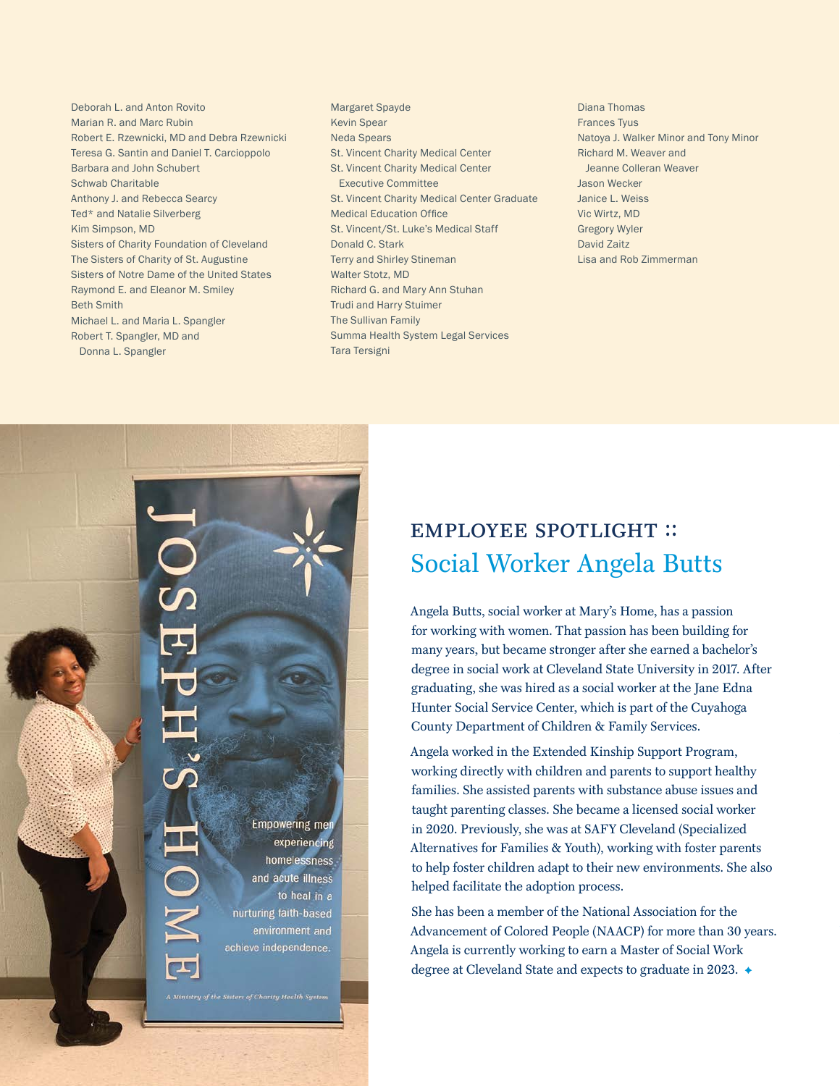- Deborah L. and Anton Rovito Marian R. and Marc Rubin Robert E. Rzewnicki, MD and Debra Rzewnicki Teresa G. Santin and Daniel T. Carcioppolo Barbara and John Schubert Schwab Charitable Anthony J. and Rebecca Searcy Ted\* and Natalie Silverberg Kim Simpson, MD Sisters of Charity Foundation of Cleveland The Sisters of Charity of St. Augustine Sisters of Notre Dame of the United States Raymond E. and Eleanor M. Smiley Beth Smith Michael L. and Maria L. Spangler Robert T. Spangler, MD and Donna L. Spangler
- Margaret Spayde Kevin Spear Neda Spears St. Vincent Charity Medical Center St. Vincent Charity Medical Center Executive Committee St. Vincent Charity Medical Center Graduate Medical Education Office St. Vincent/St. Luke's Medical Staff Donald C. Stark Terry and Shirley Stineman Walter Stotz, MD Richard G. and Mary Ann Stuhan Trudi and Harry Stuimer The Sullivan Family Summa Health System Legal Services Tara Tersigni
- Diana Thomas Frances Tyus Natoya J. Walker Minor and Tony Minor Richard M. Weaver and Jeanne Colleran Weaver Jason Wecker Janice L. Weiss Vic Wirtz, MD Gregory Wyler David Zaitz Lisa and Rob Zimmerman



## employee spotlight :: Social Worker Angela Butts

Angela Butts, social worker at Mary's Home, has a passion for working with women. That passion has been building for many years, but became stronger after she earned a bachelor's degree in social work at Cleveland State University in 2017. After graduating, she was hired as a social worker at the Jane Edna Hunter Social Service Center, which is part of the Cuyahoga County Department of Children & Family Services.

Angela worked in the Extended Kinship Support Program, working directly with children and parents to support healthy families. She assisted parents with substance abuse issues and taught parenting classes. She became a licensed social worker in 2020. Previously, she was at SAFY Cleveland (Specialized Alternatives for Families & Youth), working with foster parents to help foster children adapt to their new environments. She also helped facilitate the adoption process.

She has been a member of the National Association for the Advancement of Colored People (NAACP) for more than 30 years. Angela is currently working to earn a Master of Social Work degree at Cleveland State and expects to graduate in 2023.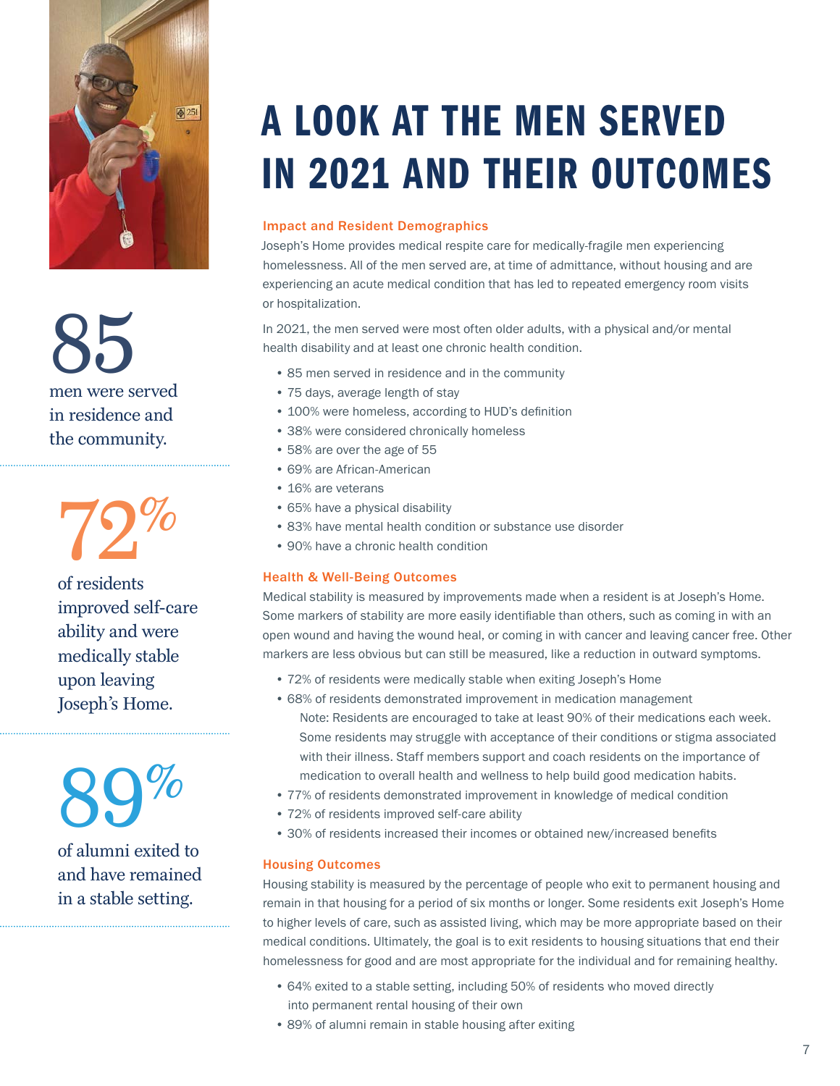

85 men were served in residence and the community.

72%

of residents improved self-care ability and were medically stable upon leaving Joseph's Home.

89% of alumni exited to and have remained in a stable setting.

# A LOOK AT THE MEN SERVED IN 2021 AND THEIR OUTCOMES

### Impact and Resident Demographics

Joseph's Home provides medical respite care for medically-fragile men experiencing homelessness. All of the men served are, at time of admittance, without housing and are experiencing an acute medical condition that has led to repeated emergency room visits or hospitalization.

In 2021, the men served were most often older adults, with a physical and/or mental health disability and at least one chronic health condition.

- 85 men served in residence and in the community
- 75 days, average length of stay
- 100% were homeless, according to HUD's definition
- 38% were considered chronically homeless
- 58% are over the age of 55
- 69% are African-American
- 16% are veterans
- 65% have a physical disability
- 83% have mental health condition or substance use disorder
- 90% have a chronic health condition

#### Health & Well-Being Outcomes

Medical stability is measured by improvements made when a resident is at Joseph's Home. Some markers of stability are more easily identifiable than others, such as coming in with an open wound and having the wound heal, or coming in with cancer and leaving cancer free. Other markers are less obvious but can still be measured, like a reduction in outward symptoms.

- 72% of residents were medically stable when exiting Joseph's Home
- 68% of residents demonstrated improvement in medication management Note: Residents are encouraged to take at least 90% of their medications each week. Some residents may struggle with acceptance of their conditions or stigma associated with their illness. Staff members support and coach residents on the importance of medication to overall health and wellness to help build good medication habits.
- 77% of residents demonstrated improvement in knowledge of medical condition
- 72% of residents improved self-care ability
- 30% of residents increased their incomes or obtained new/increased benefits

#### Housing Outcomes

Housing stability is measured by the percentage of people who exit to permanent housing and remain in that housing for a period of six months or longer. Some residents exit Joseph's Home to higher levels of care, such as assisted living, which may be more appropriate based on their medical conditions. Ultimately, the goal is to exit residents to housing situations that end their homelessness for good and are most appropriate for the individual and for remaining healthy.

- 64% exited to a stable setting, including 50% of residents who moved directly into permanent rental housing of their own
- 89% of alumni remain in stable housing after exiting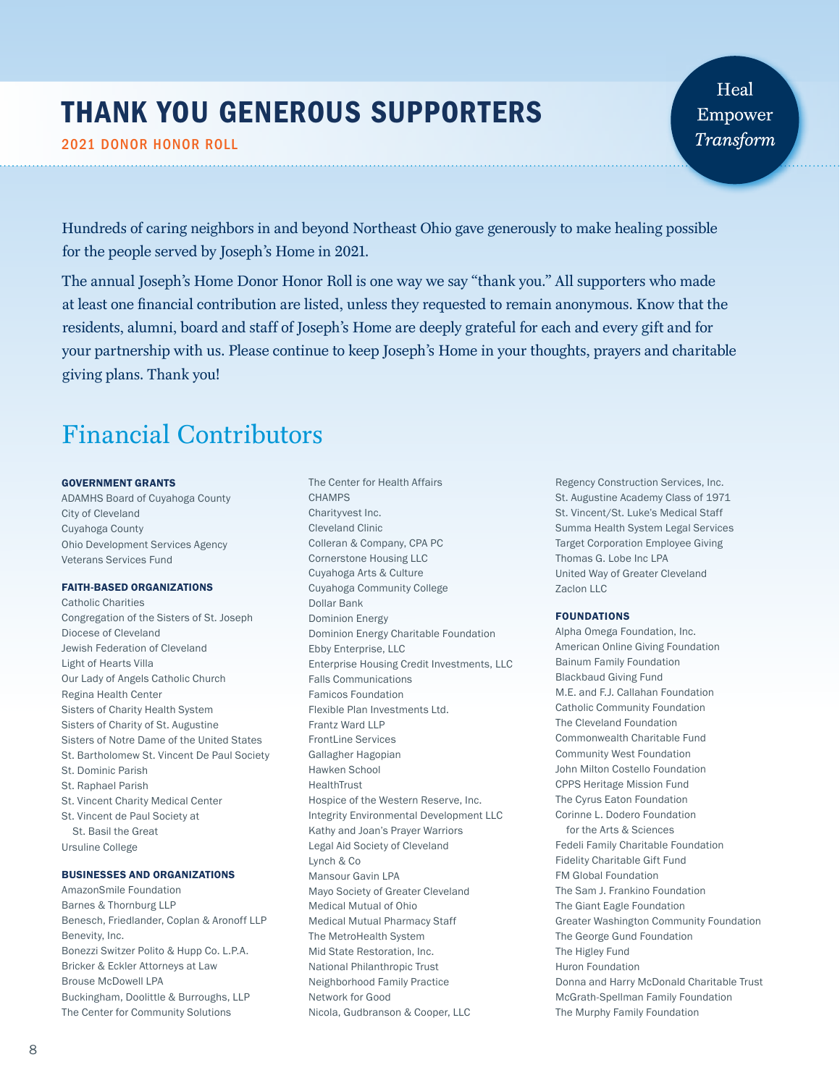# THANK YOU GENEROUS SUPPORTERS

2021 DONOR HONOR ROLL

Heal Empower Transform

Hundreds of caring neighbors in and beyond Northeast Ohio gave generously to make healing possible for the people served by Joseph's Home in 2021.

The annual Joseph's Home Donor Honor Roll is one way we say "thank you." All supporters who made at least one financial contribution are listed, unless they requested to remain anonymous. Know that the residents, alumni, board and staff of Joseph's Home are deeply grateful for each and every gift and for your partnership with us. Please continue to keep Joseph's Home in your thoughts, prayers and charitable giving plans. Thank you!

The Center for Health Affairs

# Financial Contributors

#### GOVERNMENT GRANTS

ADAMHS Board of Cuyahoga County City of Cleveland Cuyahoga County Ohio Development Services Agency Veterans Services Fund

#### FAITH-BASED ORGANIZATIONS

Catholic Charities Congregation of the Sisters of St. Joseph Diocese of Cleveland Jewish Federation of Cleveland Light of Hearts Villa Our Lady of Angels Catholic Church Regina Health Center Sisters of Charity Health System Sisters of Charity of St. Augustine Sisters of Notre Dame of the United States St. Bartholomew St. Vincent De Paul Society St. Dominic Parish St. Raphael Parish St. Vincent Charity Medical Center St. Vincent de Paul Society at St. Basil the Great Ursuline College

#### BUSINESSES AND ORGANIZATIONS

- AmazonSmile Foundation Barnes & Thornburg LLP Benesch, Friedlander, Coplan & Aronoff LLP Benevity, Inc. Bonezzi Switzer Polito & Hupp Co. L.P.A. Bricker & Eckler Attorneys at Law Brouse McDowell LPA Buckingham, Doolittle & Burroughs, LLP The Center for Community Solutions
- **CHAMPS** Charityvest Inc. Cleveland Clinic Colleran & Company, CPA PC Cornerstone Housing LLC Cuyahoga Arts & Culture Cuyahoga Community College Dollar Bank Dominion Energy Dominion Energy Charitable Foundation Ebby Enterprise, LLC Enterprise Housing Credit Investments, LLC Falls Communications Famicos Foundation Flexible Plan Investments Ltd. Frantz Ward LLP FrontLine Services Gallagher Hagopian Hawken School HealthTrust Hospice of the Western Reserve, Inc. Integrity Environmental Development LLC Kathy and Joan's Prayer Warriors Legal Aid Society of Cleveland Lynch & Co Mansour Gavin LPA Mayo Society of Greater Cleveland Medical Mutual of Ohio Medical Mutual Pharmacy Staff The MetroHealth System Mid State Restoration, Inc. National Philanthropic Trust Neighborhood Family Practice Network for Good Nicola, Gudbranson & Cooper, LLC

Regency Construction Services, Inc. St. Augustine Academy Class of 1971 St. Vincent/St. Luke's Medical Staff Summa Health System Legal Services Target Corporation Employee Giving Thomas G. Lobe Inc LPA United Way of Greater Cleveland Zaclon LLC

#### FOUNDATIONS

Alpha Omega Foundation, Inc. American Online Giving Foundation Bainum Family Foundation Blackbaud Giving Fund M.E. and F.J. Callahan Foundation Catholic Community Foundation The Cleveland Foundation Commonwealth Charitable Fund Community West Foundation John Milton Costello Foundation CPPS Heritage Mission Fund The Cyrus Eaton Foundation Corinne L. Dodero Foundation for the Arts & Sciences Fedeli Family Charitable Foundation Fidelity Charitable Gift Fund FM Global Foundation The Sam J. Frankino Foundation The Giant Eagle Foundation Greater Washington Community Foundation The George Gund Foundation The Higley Fund Huron Foundation Donna and Harry McDonald Charitable Trust McGrath-Spellman Family Foundation The Murphy Family Foundation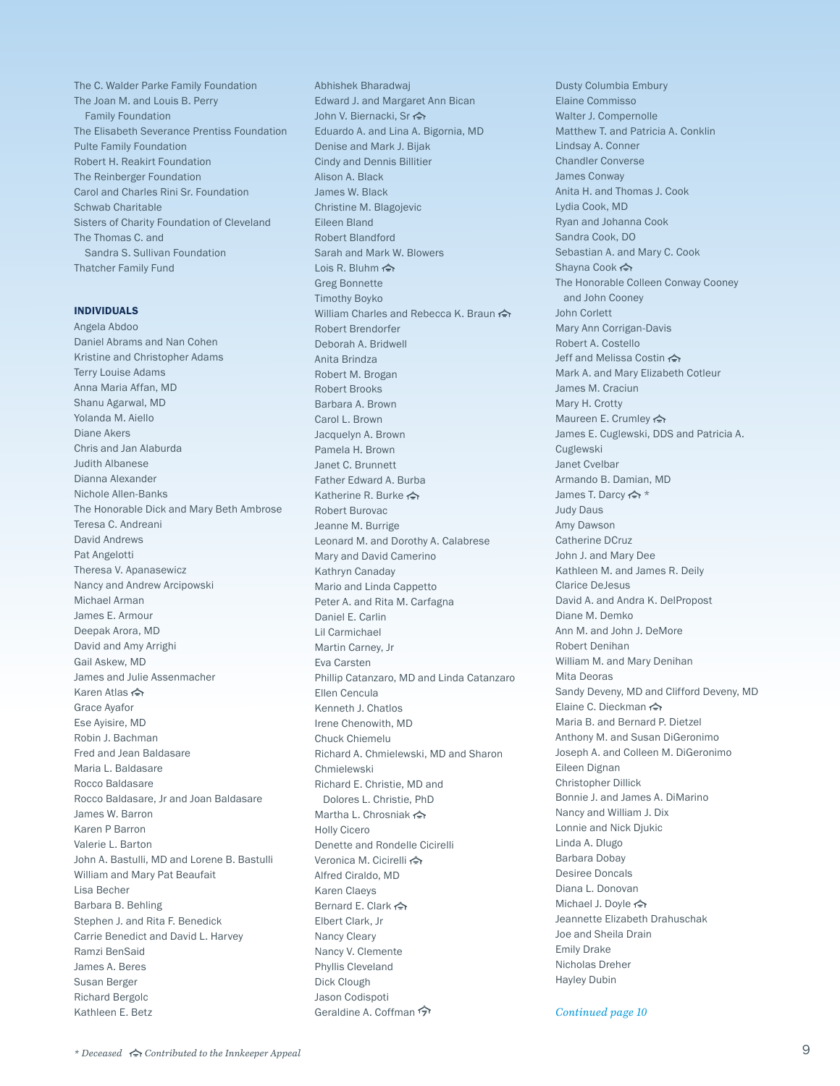The C. Walder Parke Family Foundation The Joan M. and Louis B. Perry Family Foundation The Elisabeth Severance Prentiss Foundation Pulte Family Foundation Robert H. Reakirt Foundation The Reinberger Foundation Carol and Charles Rini Sr. Foundation Schwab Charitable Sisters of Charity Foundation of Cleveland The Thomas C. and Sandra S. Sullivan Foundation Thatcher Family Fund

#### INDIVIDUALS

Angela Abdoo Daniel Abrams and Nan Cohen Kristine and Christopher Adams Terry Louise Adams Anna Maria Affan, MD Shanu Agarwal, MD Yolanda M. Aiello Diane Akers Chris and Jan Alaburda Judith Albanese Dianna Alexander Nichole Allen-Banks The Honorable Dick and Mary Beth Ambrose Teresa C. Andreani David Andrews Pat Angelotti Theresa V. Apanasewicz Nancy and Andrew Arcipowski Michael Arman James E. Armour Deepak Arora, MD David and Amy Arrighi Gail Askew, MD James and Julie Assenmacher Karen Atlas < ← Grace Ayafor Ese Ayisire, MD Robin J. Bachman Fred and Jean Baldasare Maria L. Baldasare Rocco Baldasare Rocco Baldasare, Jr and Joan Baldasare James W. Barron Karen P Barron Valerie L. Barton John A. Bastulli, MD and Lorene B. Bastulli William and Mary Pat Beaufait Lisa Becher Barbara B. Behling Stephen J. and Rita F. Benedick Carrie Benedict and David L. Harvey Ramzi BenSaid James A. Beres Susan Berger Richard Bergolc Kathleen E. Betz

Abhishek Bharadwaj Edward J. and Margaret Ann Bican John V. Biernacki, Sr Eduardo A. and Lina A. Bigornia, MD Denise and Mark J. Bijak Cindy and Dennis Billitier Alison A. Black James W. Black Christine M. Blagojevic Eileen Bland Robert Blandford Sarah and Mark W. Blowers Lois R. Bluhm  $\Leftrightarrow$ Greg Bonnette Timothy Boyko William Charles and Rebecca K. Braun <★ Robert Brendorfer Deborah A. Bridwell Anita Brindza Robert M. Brogan Robert Brooks Barbara A. Brown Carol L. Brown Jacquelyn A. Brown Pamela H. Brown Janet C. Brunnett Father Edward A. Burba Katherine R. Burke <> Robert Burovac Jeanne M. Burrige Leonard M. and Dorothy A. Calabrese Mary and David Camerino Kathryn Canaday Mario and Linda Cappetto Peter A. and Rita M. Carfagna Daniel E. Carlin Lil Carmichael Martin Carney, Jr Eva Carsten Phillip Catanzaro, MD and Linda Catanzaro Ellen Cencula Kenneth J. Chatlos Irene Chenowith, MD Chuck Chiemelu Richard A. Chmielewski, MD and Sharon Chmielewski Richard E. Christie, MD and Dolores L. Christie, PhD Martha L. Chrosniak < ← Holly Cicero Denette and Rondelle Cicirelli Veronica M. Cicirelli < Alfred Ciraldo, MD Karen Claeys Bernard E. Clark < > Elbert Clark, Jr Nancy Cleary Nancy V. Clemente Phyllis Cleveland Dick Clough Jason Codispoti Geraldine A. Coffman

Dusty Columbia Embury Elaine Commisso Walter J. Compernolle Matthew T. and Patricia A. Conklin Lindsay A. Conner Chandler Converse James Conway Anita H. and Thomas J. Cook Lydia Cook, MD Ryan and Johanna Cook Sandra Cook, DO Sebastian A. and Mary C. Cook Shayna Cook <> The Honorable Colleen Conway Cooney and John Cooney John Corlett Mary Ann Corrigan-Davis Robert A. Costello Jeff and Melissa Costin < > Mark A. and Mary Elizabeth Cotleur James M. Craciun Mary H. Crotty Maureen E. Crumley < James E. Cuglewski, DDS and Patricia A. Cuglewski Janet Cvelbar Armando B. Damian, MD James T. Darcy <> \* Judy Daus Amy Dawson Catherine DCruz John J. and Mary Dee Kathleen M. and James R. Deily Clarice DeJesus David A. and Andra K. DelPropost Diane M. Demko Ann M. and John J. DeMore Robert Denihan William M. and Mary Denihan Mita Deoras Sandy Deveny, MD and Clifford Deveny, MD Elaine C. Dieckman Maria B. and Bernard P. Dietzel Anthony M. and Susan DiGeronimo Joseph A. and Colleen M. DiGeronimo Eileen Dignan Christopher Dillick Bonnie J. and James A. DiMarino Nancy and William J. Dix Lonnie and Nick Djukic Linda A. Dlugo Barbara Dobay Desiree Doncals Diana L. Donovan Michael J. Doyle Jeannette Elizabeth Drahuschak Joe and Sheila Drain Emily Drake Nicholas Dreher Hayley Dubin

*Continued page 10*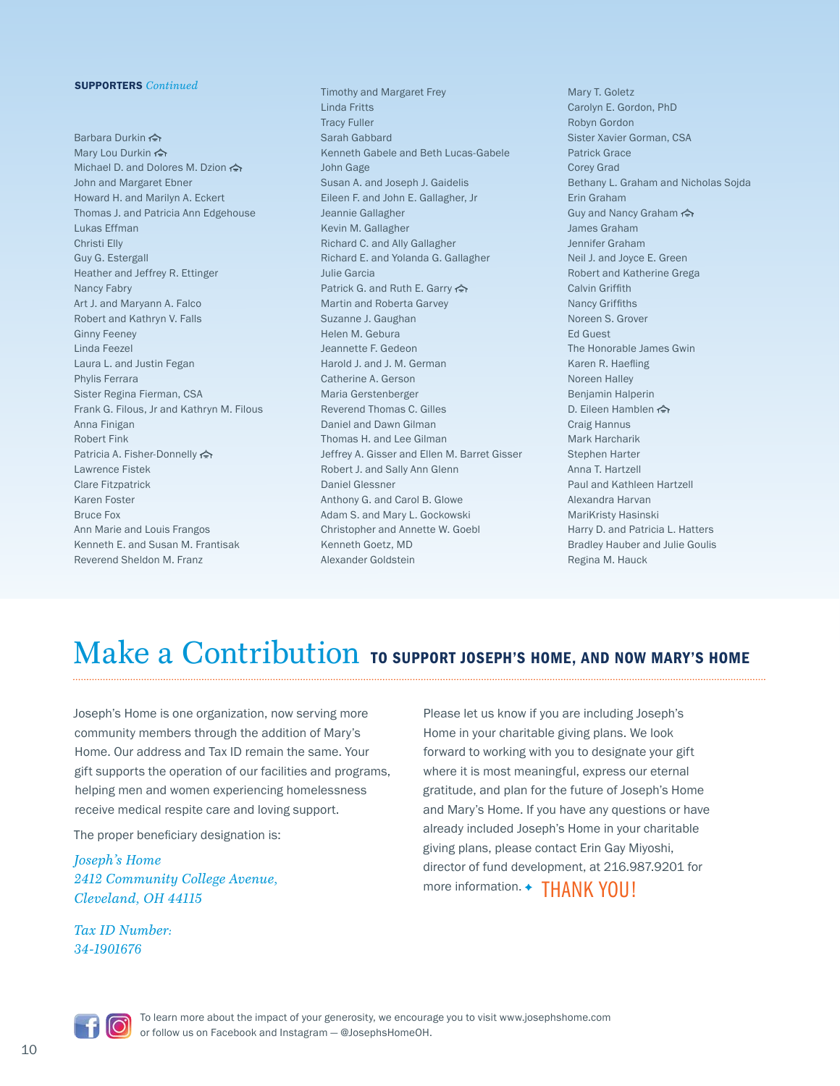#### SUPPORTERS *Continued*

Barbara Durkin <> Mary Lou Durkin << > Michael D. and Dolores M. Dzion John and Margaret Ebner Howard H. and Marilyn A. Eckert Thomas J. and Patricia Ann Edgehouse Lukas Effman Christi Elly Guy G. Estergall Heather and Jeffrey R. Ettinger Nancy Fabry Art J. and Maryann A. Falco Robert and Kathryn V. Falls Ginny Feeney Linda Feezel Laura L. and Justin Fegan Phylis Ferrara Sister Regina Fierman, CSA Frank G. Filous, Jr and Kathryn M. Filous Anna Finigan Robert Fink Patricia A. Fisher-Donnelly Lawrence Fistek Clare Fitzpatrick Karen Foster Bruce Fox Ann Marie and Louis Frangos Kenneth E. and Susan M. Frantisak Reverend Sheldon M. Franz

Timothy and Margaret Frey Linda Fritts Tracy Fuller Sarah Gabbard Kenneth Gabele and Beth Lucas-Gabele John Gage Susan A. and Joseph J. Gaidelis Eileen F. and John E. Gallagher, Jr Jeannie Gallagher Kevin M. Gallagher Richard C. and Ally Gallagher Richard E. and Yolanda G. Gallagher Julie Garcia Patrick G. and Ruth E. Garry < Martin and Roberta Garvey Suzanne J. Gaughan Helen M. Gebura Jeannette F. Gedeon Harold J. and J. M. German Catherine A. Gerson Maria Gerstenberger Reverend Thomas C. Gilles Daniel and Dawn Gilman Thomas H. and Lee Gilman Jeffrey A. Gisser and Ellen M. Barret Gisser Robert J. and Sally Ann Glenn Daniel Glessner Anthony G. and Carol B. Glowe Adam S. and Mary L. Gockowski Christopher and Annette W. Goebl Kenneth Goetz, MD Alexander Goldstein

Mary T. Goletz Carolyn E. Gordon, PhD Robyn Gordon Sister Xavier Gorman, CSA Patrick Grace Corey Grad Bethany L. Graham and Nicholas Sojda Erin Graham Guy and Nancy Graham James Graham Jennifer Graham Neil J. and Joyce E. Green Robert and Katherine Grega Calvin Griffith Nancy Griffiths Noreen S. Grover Ed Guest The Honorable James Gwin Karen R. Haefling Noreen Halley Benjamin Halperin D. Eileen Hamblen Craig Hannus Mark Harcharik Stephen Harter Anna T. Hartzell Paul and Kathleen Hartzell Alexandra Harvan MariKristy Hasinski Harry D. and Patricia L. Hatters Bradley Hauber and Julie Goulis Regina M. Hauck

# Make a Contribution to support Joseph's Home, AND NOW MARY'S HOME

Joseph's Home is one organization, now serving more community members through the addition of Mary's Home. Our address and Tax ID remain the same. Your gift supports the operation of our facilities and programs, helping men and women experiencing homelessness receive medical respite care and loving support.

The proper beneficiary designation is:

*Joseph's Home 2412 Community College Avenue, Cleveland, OH 44115*

*Tax ID Number: 34-1901676*

Please let us know if you are including Joseph's Home in your charitable giving plans. We look forward to working with you to designate your gift where it is most meaningful, express our eternal gratitude, and plan for the future of Joseph's Home and Mary's Home. If you have any questions or have already included Joseph's Home in your charitable giving plans, please contact Erin Gay Miyoshi, director of fund development, at 216.987.9201 for more information. + THANK YOU!

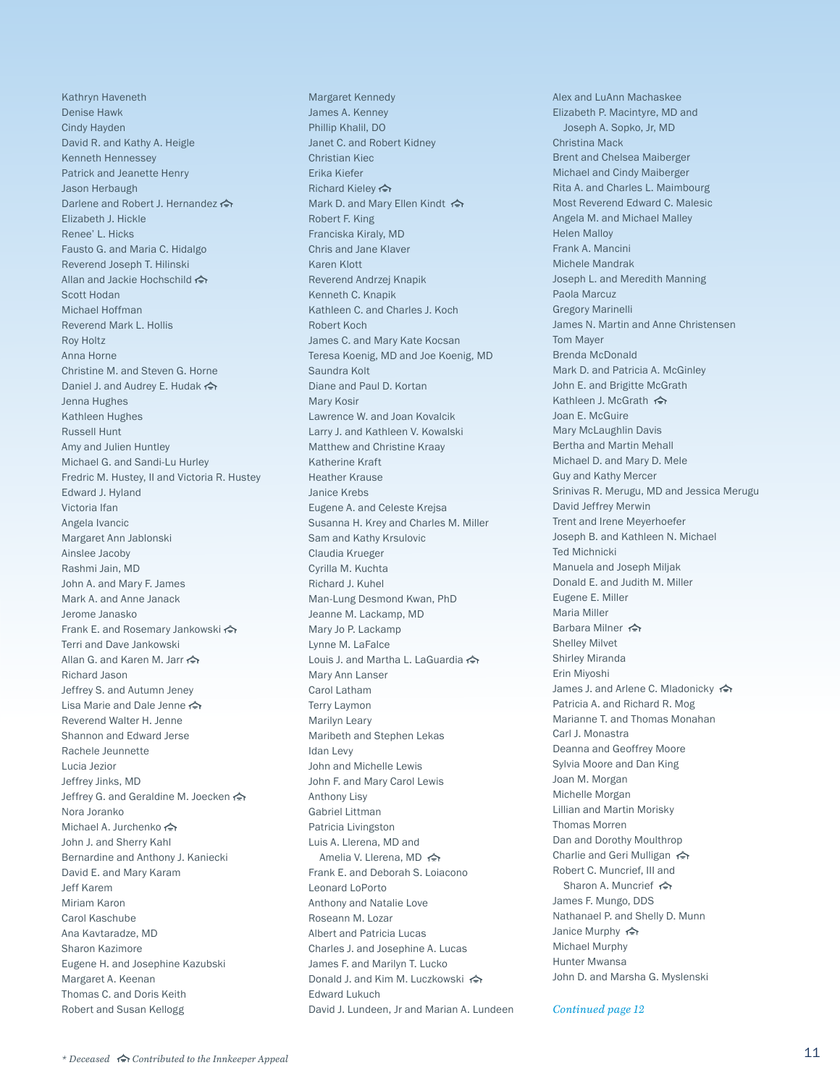Kathryn Haveneth Denise Hawk Cindy Hayden David R. and Kathy A. Heigle Kenneth Hennessey Patrick and Jeanette Henry Jason Herbaugh Darlene and Robert J. Hernandez <> Elizabeth J. Hickle Renee' L. Hicks Fausto G. and Maria C. Hidalgo Reverend Joseph T. Hilinski Allan and Jackie Hochschild <>>> Scott Hodan Michael Hoffman Reverend Mark L. Hollis Roy Holtz Anna Horne Christine M. and Steven G. Horne Daniel J. and Audrey E. Hudak < Jenna Hughes Kathleen Hughes Russell Hunt Amy and Julien Huntley Michael G. and Sandi-Lu Hurley Fredric M. Hustey, II and Victoria R. Hustey Edward J. Hyland Victoria Ifan Angela Ivancic Margaret Ann Jablonski Ainslee Jacoby Rashmi Jain, MD John A. and Mary F. James Mark A. and Anne Janack Jerome Janasko Frank E. and Rosemary Jankowski Terri and Dave Jankowski Allan G. and Karen M. Jarr < Richard Jason Jeffrey S. and Autumn Jeney Lisa Marie and Dale Jenne Reverend Walter H. Jenne Shannon and Edward Jerse Rachele Jeunnette Lucia Jezior Jeffrey Jinks, MD Jeffrey G. and Geraldine M. Joecken Nora Joranko Michael A. Jurchenko John J. and Sherry Kahl Bernardine and Anthony J. Kaniecki David E. and Mary Karam Jeff Karem Miriam Karon Carol Kaschube Ana Kavtaradze, MD Sharon Kazimore Eugene H. and Josephine Kazubski Margaret A. Keenan Thomas C. and Doris Keith Robert and Susan Kellogg

Margaret Kennedy James A. Kenney Phillip Khalil, DO Janet C. and Robert Kidney Christian Kiec Erika Kiefer Richard Kieley <> Mark D. and Mary Ellen Kindt < Robert F. King Franciska Kiraly, MD Chris and Jane Klaver Karen Klott Reverend Andrzej Knapik Kenneth C. Knapik Kathleen C. and Charles J. Koch Robert Koch James C. and Mary Kate Kocsan Teresa Koenig, MD and Joe Koenig, MD Saundra Kolt Diane and Paul D. Kortan Mary Kosir Lawrence W. and Joan Kovalcik Larry J. and Kathleen V. Kowalski Matthew and Christine Kraay Katherine Kraft Heather Krause Janice Krebs Eugene A. and Celeste Krejsa Susanna H. Krey and Charles M. Miller Sam and Kathy Krsulovic Claudia Krueger Cyrilla M. Kuchta Richard J. Kuhel Man-Lung Desmond Kwan, PhD Jeanne M. Lackamp, MD Mary Jo P. Lackamp Lynne M. LaFalce Louis J. and Martha L. LaGuardia Mary Ann Lanser Carol Latham Terry Laymon Marilyn Leary Maribeth and Stephen Lekas Idan Levy John and Michelle Lewis John F. and Mary Carol Lewis Anthony Lisy Gabriel Littman Patricia Livingston Luis A. Llerena, MD and Amelia V. Llerena, MD <> Frank E. and Deborah S. Loiacono Leonard LoPorto Anthony and Natalie Love Roseann M. Lozar Albert and Patricia Lucas Charles J. and Josephine A. Lucas James F. and Marilyn T. Lucko Donald J. and Kim M. Luczkowski <> Edward Lukuch David J. Lundeen, Jr and Marian A. Lundeen Alex and LuAnn Machaskee Elizabeth P. Macintyre, MD and Joseph A. Sopko, Jr, MD Christina Mack Brent and Chelsea Maiberger Michael and Cindy Maiberger Rita A. and Charles L. Maimbourg Most Reverend Edward C. Malesic Angela M. and Michael Malley Helen Malloy Frank A. Mancini Michele Mandrak Joseph L. and Meredith Manning Paola Marcuz Gregory Marinelli James N. Martin and Anne Christensen Tom Mayer Brenda McDonald Mark D. and Patricia A. McGinley John E. and Brigitte McGrath Kathleen J. McGrath <> Joan E. McGuire Mary McLaughlin Davis Bertha and Martin Mehall Michael D. and Mary D. Mele Guy and Kathy Mercer Srinivas R. Merugu, MD and Jessica Merugu David Jeffrey Merwin Trent and Irene Meyerhoefer Joseph B. and Kathleen N. Michael Ted Michnicki Manuela and Joseph Miljak Donald E. and Judith M. Miller Eugene E. Miller Maria Miller Barbara Milner Shelley Milvet Shirley Miranda Erin Miyoshi James J. and Arlene C. Mladonicky  $\Leftrightarrow$ Patricia A. and Richard R. Mog Marianne T. and Thomas Monahan Carl J. Monastra Deanna and Geoffrey Moore Sylvia Moore and Dan King Joan M. Morgan Michelle Morgan Lillian and Martin Morisky Thomas Morren Dan and Dorothy Moulthrop Charlie and Geri Mulligan < Robert C. Muncrief, III and Sharon A. Muncrief < > James F. Mungo, DDS Nathanael P. and Shelly D. Munn Janice Murphy <>
<del>★</del> Michael Murphy Hunter Mwansa John D. and Marsha G. Myslenski

*Continued page 12*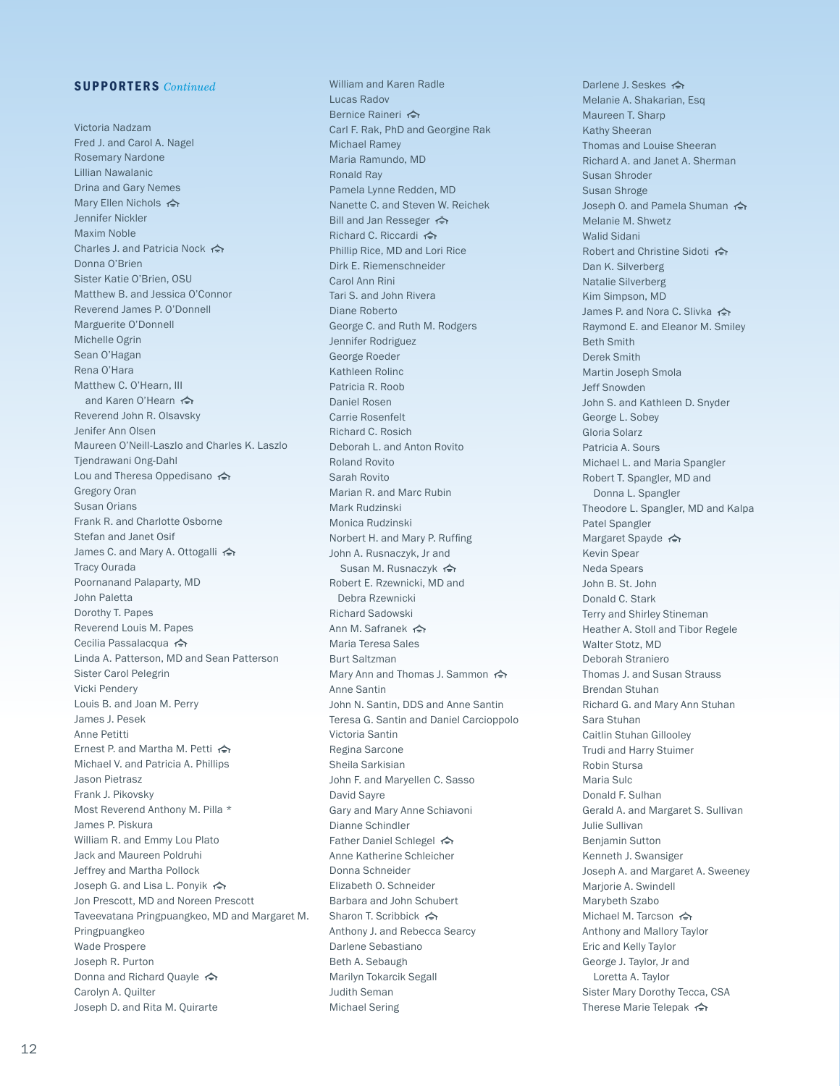#### SUPPORTERS *Continued*

Victoria Nadzam Fred J. and Carol A. Nagel Rosemary Nardone Lillian Nawalanic Drina and Gary Nemes Mary Ellen Nichols <> Jennifer Nickler Maxim Noble Charles J. and Patricia Nock <> Donna O'Brien Sister Katie O'Brien, OSU Matthew B. and Jessica O'Connor Reverend James P. O'Donnell Marguerite O'Donnell Michelle Ogrin Sean O'Hagan Rena O'Hara Matthew C. O'Hearn, III and Karen O'Hearn < Reverend John R. Olsavsky Jenifer Ann Olsen Maureen O'Neill-Laszlo and Charles K. Laszlo Tjendrawani Ong-Dahl Lou and Theresa Oppedisano Gregory Oran Susan Orians Frank R. and Charlotte Osborne Stefan and Janet Osif James C. and Mary A. Ottogalli < > Tracy Ourada Poornanand Palaparty, MD John Paletta Dorothy T. Papes Reverend Louis M. Papes Cecilia Passalacqua < Linda A. Patterson, MD and Sean Patterson Sister Carol Pelegrin Vicki Pendery Louis B. and Joan M. Perry James J. Pesek Anne Petitti Ernest P. and Martha M. Petti Michael V. and Patricia A. Phillips Jason Pietrasz Frank J. Pikovsky Most Reverend Anthony M. Pilla \* James P. Piskura William R. and Emmy Lou Plato Jack and Maureen Poldruhi Jeffrey and Martha Pollock Joseph G. and Lisa L. Ponyik Jon Prescott, MD and Noreen Prescott Taveevatana Pringpuangkeo, MD and Margaret M. Pringpuangkeo Wade Prospere Joseph R. Purton Donna and Richard Quayle <>> Carolyn A. Quilter Joseph D. and Rita M. Quirarte

William and Karen Radle Lucas Radov Bernice Raineri <> Carl F. Rak, PhD and Georgine Rak Michael Ramey Maria Ramundo, MD Ronald Ray Pamela Lynne Redden, MD Nanette C. and Steven W. Reichek Bill and Jan Resseger < > Richard C. Riccardi Phillip Rice, MD and Lori Rice Dirk E. Riemenschneider Carol Ann Rini Tari S. and John Rivera Diane Roberto George C. and Ruth M. Rodgers Jennifer Rodriguez George Roeder Kathleen Rolinc Patricia R. Roob Daniel Rosen Carrie Rosenfelt Richard C. Rosich Deborah L. and Anton Rovito Roland Rovito Sarah Rovito Marian R. and Marc Rubin Mark Rudzinski Monica Rudzinski Norbert H. and Mary P. Ruffing John A. Rusnaczyk, Jr and Susan M. Rusnaczyk Robert E. Rzewnicki, MD and Debra Rzewnicki Richard Sadowski Ann M. Safranek Maria Teresa Sales Burt Saltzman Mary Ann and Thomas J. Sammon Anne Santin John N. Santin, DDS and Anne Santin Teresa G. Santin and Daniel Carcioppolo Victoria Santin Regina Sarcone Sheila Sarkisian John F. and Maryellen C. Sasso David Sayre Gary and Mary Anne Schiavoni Dianne Schindler Father Daniel Schlegel Anne Katherine Schleicher Donna Schneider Elizabeth O. Schneider Barbara and John Schubert Sharon T. Scribbick <>
<del>★</del> Anthony J. and Rebecca Searcy Darlene Sebastiano Beth A. Sebaugh Marilyn Tokarcik Segall Judith Seman Michael Sering

Darlene J. Seskes <>>> Melanie A. Shakarian, Esq Maureen T. Sharp Kathy Sheeran Thomas and Louise Sheeran Richard A. and Janet A. Sherman Susan Shroder Susan Shroge Joseph O. and Pamela Shuman <> Melanie M. Shwetz Walid Sidani Robert and Christine Sidoti Dan K. Silverberg Natalie Silverberg Kim Simpson, MD James P. and Nora C. Slivka <> Raymond E. and Eleanor M. Smiley Beth Smith Derek Smith Martin Joseph Smola Jeff Snowden John S. and Kathleen D. Snyder George L. Sobey Gloria Solarz Patricia A. Sours Michael L. and Maria Spangler Robert T. Spangler, MD and Donna L. Spangler Theodore L. Spangler, MD and Kalpa Patel Spangler Margaret Spayde < Kevin Spear Neda Spears John B. St. John Donald C. Stark Terry and Shirley Stineman Heather A. Stoll and Tibor Regele Walter Stotz, MD Deborah Straniero Thomas J. and Susan Strauss Brendan Stuhan Richard G. and Mary Ann Stuhan Sara Stuhan Caitlin Stuhan Gillooley Trudi and Harry Stuimer Robin Stursa Maria Sulc Donald F. Sulhan Gerald A. and Margaret S. Sullivan Julie Sullivan Benjamin Sutton Kenneth J. Swansiger Joseph A. and Margaret A. Sweeney Marjorie A. Swindell Marybeth Szabo Michael M. Tarcson <> Anthony and Mallory Taylor Eric and Kelly Taylor George J. Taylor, Jr and Loretta A. Taylor Sister Mary Dorothy Tecca, CSA Therese Marie Telepak <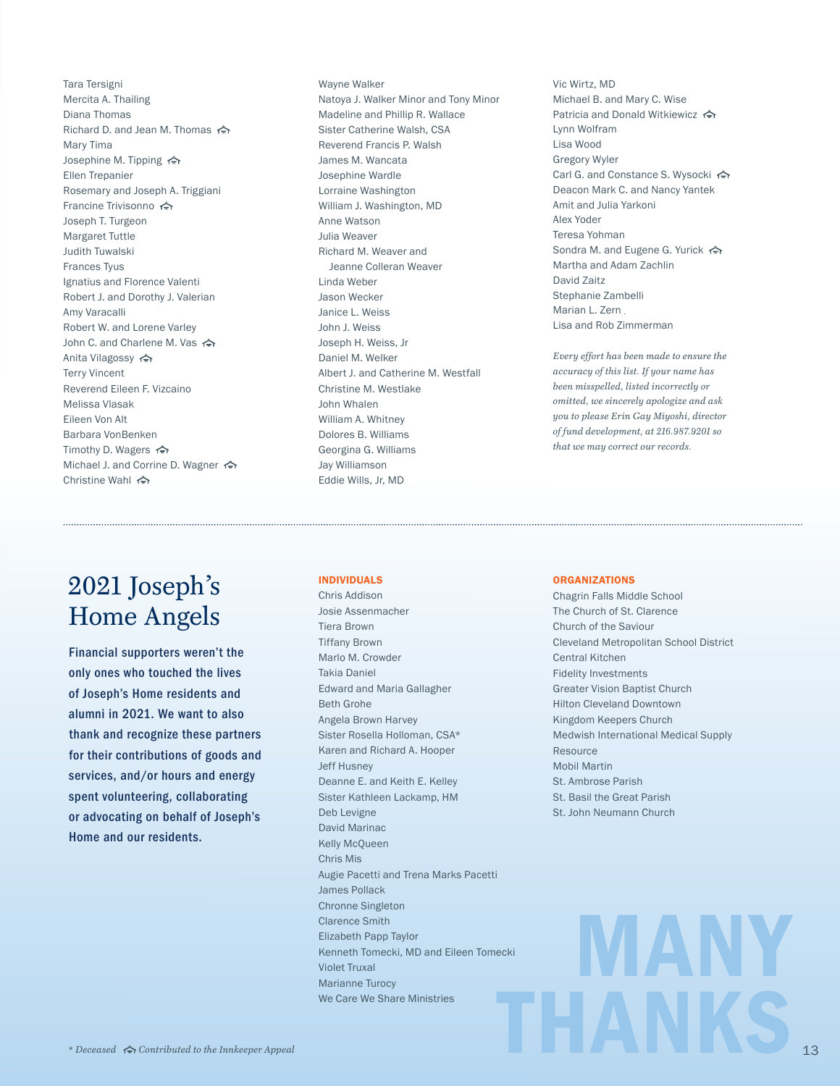Tara Tersigni Mercita A. Thailing Diana Thomas Richard D. and Jean M. Thomas <> Mary Tima Josephine M. Tipping Ellen Trepanier Rosemary and Joseph A. Triggiani Francine Trivisonno Joseph T. Turgeon Margaret Tuttle Judith Tuwalski Frances Tyus Ignatius and Florence Valenti Robert J. and Dorothy J. Valerian Amy Varacalli Robert W. and Lorene Varley John C. and Charlene M. Vas Anita Vilagossy Terry Vincent Reverend Eileen F. Vizcaino Melissa Vlasak Eileen Von Alt Barbara VonBenken Timothy D. Wagers <> Michael J. and Corrine D. Wagner <> Christine Wahl

## 2021 Joseph's Home Angels

Financial supporters weren't the only ones who touched the lives of Joseph's Home residents and alumni in 2021. We want to also thank and recognize these partners for their contributions of goods and services, and/or hours and energy spent volunteering, collaborating or advocating on behalf of Joseph's Home and our residents.

Wayne Walker Natoya J. Walker Minor and Tony Minor Madeline and Phillip R. Wallace Sister Catherine Walsh, CSA Reverend Francis P. Walsh James M. Wancata Josephine Wardle Lorraine Washington William J. Washington, MD Anne Watson Julia Weaver Richard M. Weaver and Jeanne Colleran Weaver Linda Weber Jason Wecker Janice L. Weiss John J. Weiss Joseph H. Weiss, Jr Daniel M. Welker Albert J. and Catherine M. Westfall Christine M. Westlake John Whalen William A. Whitney Dolores B. Williams Georgina G. Williams Jay Williamson Eddie Wills, Jr, MD

Vic Wirtz, MD Michael B. and Mary C. Wise Patricia and Donald Witkiewicz <> Lynn Wolfram Lisa Wood Gregory Wyler Carl G. and Constance S. Wysocki <> Deacon Mark C. and Nancy Yantek Amit and Julia Yarkoni Alex Yoder Teresa Yohman Sondra M. and Eugene G. Yurick <> Martha and Adam Zachlin David Zaitz Stephanie Zambelli Marian L. Zern Lisa and Rob Zimmerman

*Every effort has been made to ensure the accuracy of this list. If your name has been misspelled, listed incorrectly or omitted, we sincerely apologize and ask you to please Erin Gay Miyoshi, director of fund development, at 216.987.9201 so that we may correct our records.*

#### INDIVIDUALS

THANKS Chris Addison Josie Assenmacher Tiera Brown Tiffany Brown Marlo M. Crowder Takia Daniel Edward and Maria Gallagher Beth Grohe Angela Brown Harvey Sister Rosella Holloman, CSA\* Karen and Richard A. Hooper Jeff Husney Deanne E. and Keith E. Kelley Sister Kathleen Lackamp, HM Deb Levigne David Marinac Kelly McQueen Chris Mis Augie Pacetti and Trena Marks Pacetti James Pollack Chronne Singleton Clarence Smith Elizabeth Papp Taylor Kenneth Tomecki, MD and Eileen Tomecki Violet Truxal Marianne Turocy We Care We Share Ministries

#### **ORGANIZATIONS**

Chagrin Falls Middle School The Church of St. Clarence Church of the Saviour Cleveland Metropolitan School District Central Kitchen Fidelity Investments Greater Vision Baptist Church Hilton Cleveland Downtown Kingdom Keepers Church Medwish International Medical Supply Resource Mobil Martin St. Ambrose Parish St. Basil the Great Parish St. John Neumann Church

MANY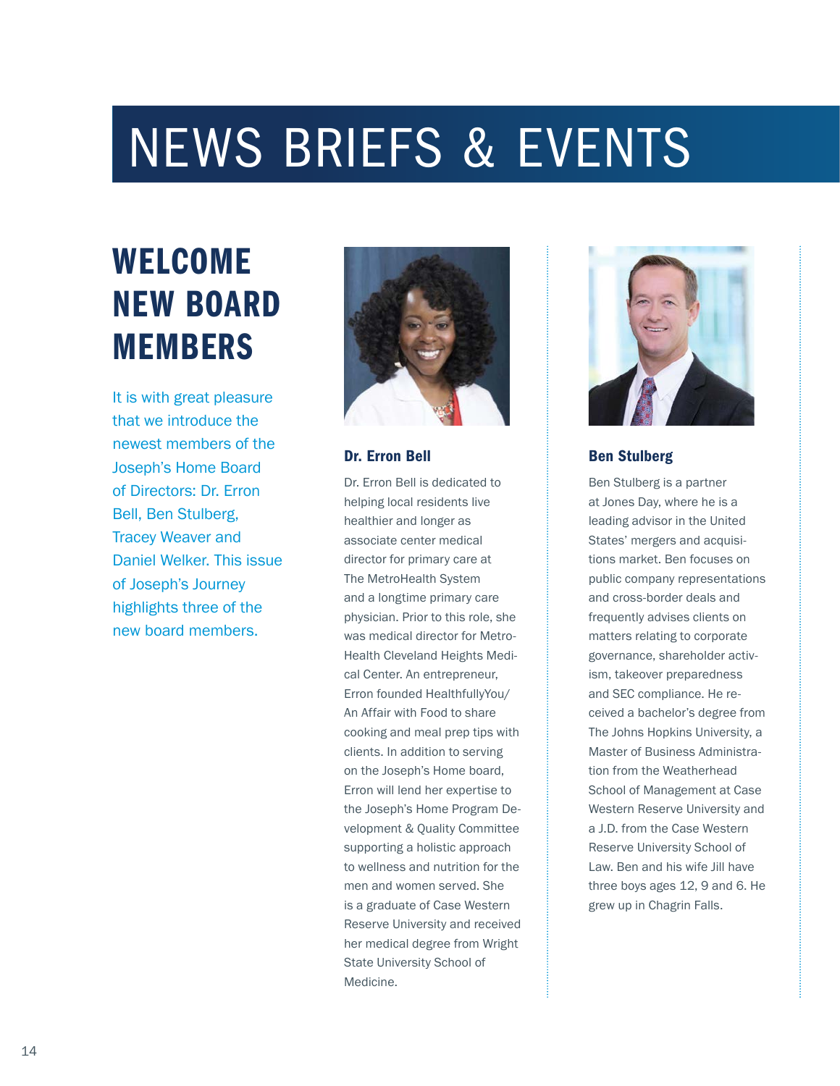# NEWS BRIEFS & EVENTS

# WELCOME NEW BOARD MEMBERS

It is with great pleasure that we introduce the newest members of the Joseph's Home Board of Directors: Dr. Erron Bell, Ben Stulberg, Tracey Weaver and Daniel Welker. This issue of Joseph's Journey highlights three of the new board members.



### Dr. Erron Bell

Dr. Erron Bell is dedicated to helping local residents live healthier and longer as associate center medical director for primary care at The MetroHealth System and a longtime primary care physician. Prior to this role, she was medical director for Metro-Health Cleveland Heights Medical Center. An entrepreneur, Erron founded HealthfullyYou/ An Affair with Food to share cooking and meal prep tips with clients. In addition to serving on the Joseph's Home board, Erron will lend her expertise to the Joseph's Home Program Development & Quality Committee supporting a holistic approach to wellness and nutrition for the men and women served. She is a graduate of Case Western Reserve University and received her medical degree from Wright State University School of Medicine.



## Ben Stulberg

Ben Stulberg is a partner at Jones Day, where he is a leading advisor in the United States' mergers and acquisitions market. Ben focuses on public company representations and cross-border deals and frequently advises clients on matters relating to corporate governance, shareholder activism, takeover preparedness and SEC compliance. He received a bachelor's degree from The Johns Hopkins University, a Master of Business Administration from the Weatherhead School of Management at Case Western Reserve University and a J.D. from the Case Western Reserve University School of Law. Ben and his wife Jill have three boys ages 12, 9 and 6. He grew up in Chagrin Falls.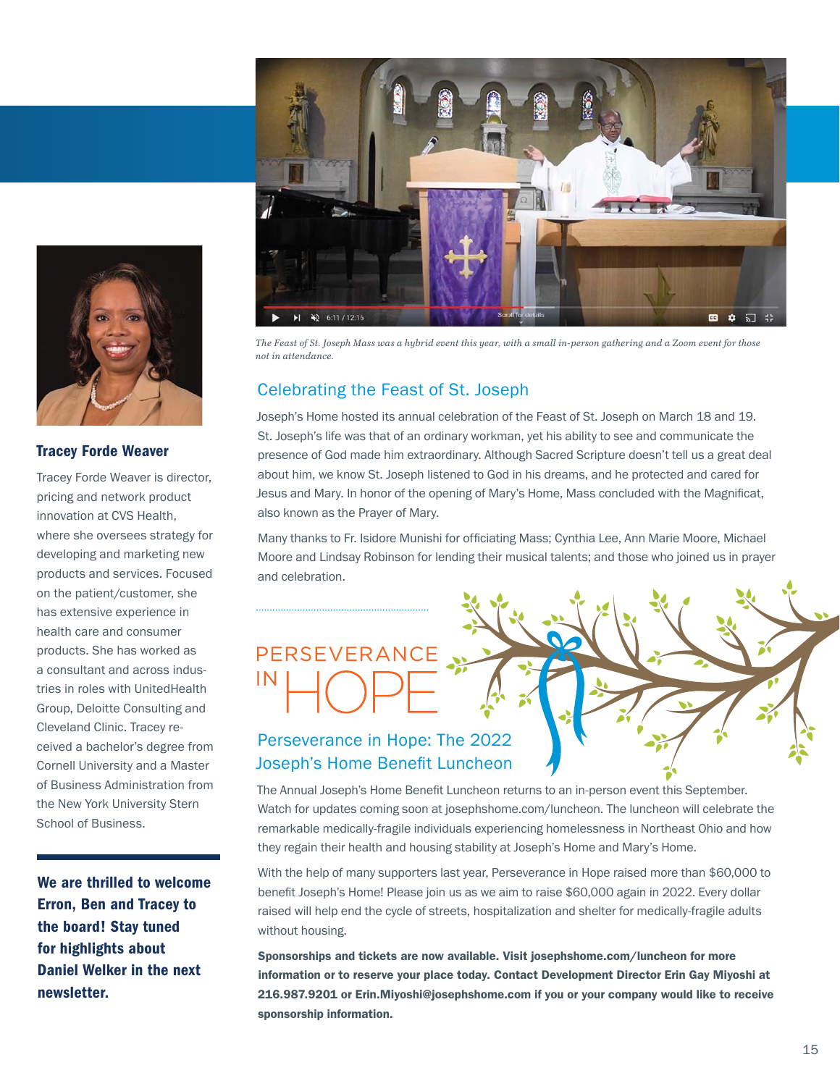



## Celebrating the Feast of St. Joseph

Joseph's Home hosted its annual celebration of the Feast of St. Joseph on March 18 and 19. St. Joseph's life was that of an ordinary workman, yet his ability to see and communicate the presence of God made him extraordinary. Although Sacred Scripture doesn't tell us a great deal about him, we know St. Joseph listened to God in his dreams, and he protected and cared for Jesus and Mary. In honor of the opening of Mary's Home, Mass concluded with the Magnificat, also known as the Prayer of Mary.

Many thanks to Fr. Isidore Munishi for officiating Mass; Cynthia Lee, Ann Marie Moore, Michael Moore and Lindsay Robinson for lending their musical talents; and those who joined us in prayer and celebration.

# PERSEVERANCE



## Perseverance in Hope: The 2022 Joseph's Home Benefit Luncheon

The Annual Joseph's Home Benefit Luncheon returns to an in-person event this September. Watch for updates coming soon at josephshome.com/luncheon. The luncheon will celebrate the remarkable medically-fragile individuals experiencing homelessness in Northeast Ohio and how they regain their health and housing stability at Joseph's Home and Mary's Home.

With the help of many supporters last year, Perseverance in Hope raised more than \$60,000 to benefit Joseph's Home! Please join us as we aim to raise \$60,000 again in 2022. Every dollar raised will help end the cycle of streets, hospitalization and shelter for medically-fragile adults without housing.

Sponsorships and tickets are now available. Visit josephshome.com/luncheon for more information or to reserve your place today. Contact Development Director Erin Gay Miyoshi at 216.987.9201 or Erin.Miyoshi@josephshome.com if you or your company would like to receive sponsorship information.



### Tracey Forde Weaver

Tracey Forde Weaver is director, pricing and network product innovation at CVS Health, where she oversees strategy for developing and marketing new products and services. Focused on the patient/customer, she has extensive experience in health care and consumer products. She has worked as a consultant and across industries in roles with UnitedHealth Group, Deloitte Consulting and Cleveland Clinic. Tracey received a bachelor's degree from Cornell University and a Master of Business Administration from the New York University Stern School of Business.

We are thrilled to welcome Erron, Ben and Tracey to the board! Stay tuned for highlights about Daniel Welker in the next newsletter.